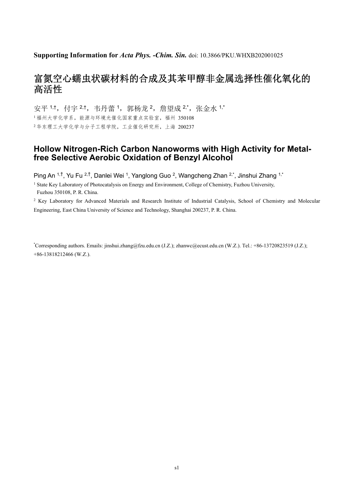## **Supporting Information for** *Acta Phys. -Chim. Sin.* doi: 10.3866/PKU.WHXB202001025

## 富氮空心蠕虫状碳材料的合成及其苯甲醇非金属选择性催化氧化的 高活性

安平 1,t, 付宇 2,t, 韦丹蕾 1, 郭杨龙 2, 詹望成 2,\*, 张金水 1,\* <sup>1</sup>福州大学化学系,能源与环境光催化国家重点实验室,福州 350108 <sup>2</sup>华东理工大学化学与分子工程学院,工业催化研究所,上海 200237

## **Hollow Nitrogen-Rich Carbon Nanoworms with High Activity for Metalfree Selective Aerobic Oxidation of Benzyl Alcohol**

Ping An 1,†, Yu Fu 2,†, Danlei Wei 1, Yanglong Guo 2, Wangcheng Zhan 2,\*, Jinshui Zhang 1,\*

<sup>1</sup> State Key Laboratory of Photocatalysis on Energy and Environment, College of Chemistry, Fuzhou University, Fuzhou 350108, P. R. China.

<sup>2</sup> Key Laboratory for Advanced Materials and Research Institute of Industrial Catalysis, School of Chemistry and Molecular Engineering, East China University of Science and Technology, Shanghai 200237, P. R. China.

\* Corresponding authors. Emails: jinshui.zhang@fzu.edu.cn (J.Z.); zhanwc@ecust.edu.cn (W.Z.). Tel.: +86-13720823519 (J.Z.); +86-13818212466 (W.Z.).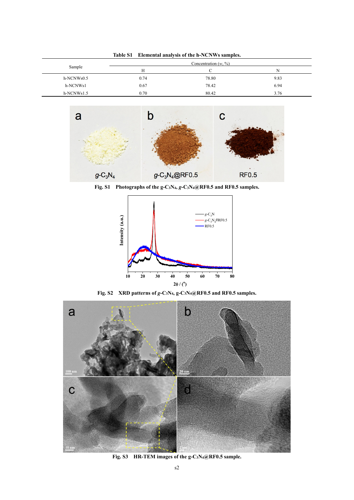|              | <b>Table S1</b> |      | Elemental analysis of the h-NCNWs samples. |      |
|--------------|-----------------|------|--------------------------------------------|------|
| Sample       |                 |      | Concentration $(w, %)$                     |      |
|              |                 | H    |                                            | N    |
| h-NCNWs0.5   |                 | 0.74 | 78.80                                      | 9.83 |
| h-NCNWs1     |                 | 0.67 | 78.42                                      | 6.94 |
| $h-NCNWs1.5$ |                 | 0.70 | 80.42                                      | 3.76 |



**Fig. S1 Photographs of the g-C3N4,** *g***-C3N4@RF0.5 and RF0.5 samples.**



**Fig. S2 XRD patterns of** *g***-C3N4, g-C3N4@RF0.5 and RF0.5 samples.** 



**Fig. S3 HR-TEM images of the g-C3N4@RF0.5 sample.**